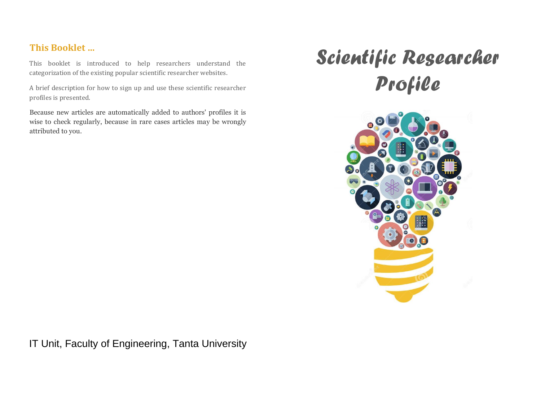## **This Booklet …**

This booklet is introduced to help researchers understand the categorization of the existing popular scientific researcher websites.

A brief description for how to sign up and use these scientific researcher profiles is presented.

Because new articles are automatically added to authors' profiles it is wise to check regularly, because in rare cases articles may be wrongly attributed to you.

# *Scientific Researcher Profile*



**IT Unit, Faculty of Engineering, Tanta University**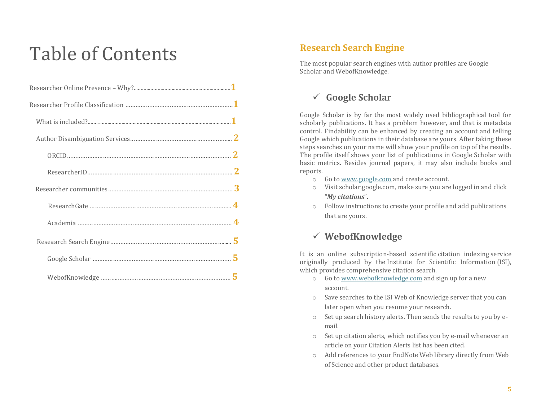## Table of Contents

## **Research Search Engine**

The most popular search engines with author profiles are Google Scholar and WebofKnowledge.

## **Google Scholar**

Google Scholar is by far the most widely used bibliographical tool for scholarly publications. It has a problem however, and that is metadata control. Findability can be enhanced by creating an account and telling Google which publications in their database are yours. After taking these steps searches on your name will show your profile on top of the results. The profile itself shows your list of publications in Google Scholar with basic metrics. Besides journal papers, it may also include books and reports.

- o Go t[o www.google.com](http://www.google.com/) and create account.
- o Visit scholar.google.com, make sure you are logged in and click "*My citations*".
- o Follow instructions to create your profile and add publications that are yours.

## **WebofKnowledge**

It is an online subscription-based scientific [citation indexing](https://en.wikipedia.org/wiki/Citation_index) service originally produced by the [Institute for Scientific Information](https://en.wikipedia.org/wiki/Institute_for_Scientific_Information) (ISI), which provides comprehensive citation search.

- o Go t[o www.webofknowledge.com](http://www.webofknowledge.com/) and sign up for a new account.
- o Save searches to the ISI Web of Knowledge server that you can later open when you resume your research.
- o Set up search history alerts. Then sends the results to you by email.
- o Set up citation alerts, which notifies you by e-mail whenever an article on your Citation Alerts list has been cited.
- o Add references to your EndNote Web library directly from Web of Science and other product databases.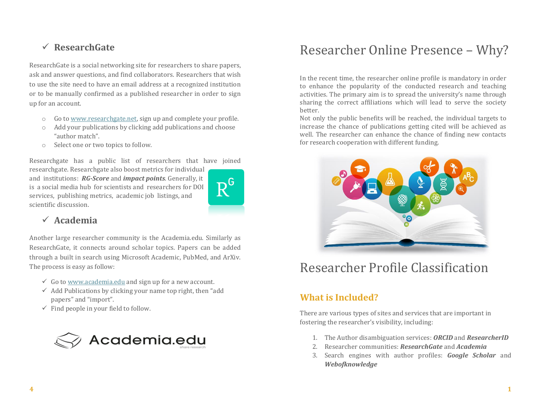## **ResearchGate**

ResearchGate is a social networking site for researchers to share papers, ask and answer questions, and find collaborators. Researchers that wish to use the site need to have an email address at a recognized institution or to be manually confirmed as a published researcher in order to sign up for an account.

- o Go t[o www.researchgate.net,](http://www.researchgate.net/) sign up and complete your profile.
- o Add your publications by clicking add publications and choose "author match".
- o Select one or two topics to follow.

Researchgate has a public list of researchers that have joined

researchgate. Researchgate also boost metrics for individual and institutions: *RG-Score* and *impact points*. Generally, it is a social media hub for scientists and researchers for DOI services, publishing metrics, academic job listings, and scientific discussion.



## **Academia**

Another large researcher community is the Academia.edu. Similarly as ResearchGate, it connects around scholar topics. Papers can be added through a built in search using Microsoft Academic, PubMed, and ArXiv. The process is easy as follow:

- $\checkmark$  Go to [www.academia.edu](http://www.academia.edu/) and sign up for a new account.
- $\checkmark$  Add Publications by clicking your name top right, then "add" papers" and "import".
- $\checkmark$  Find people in your field to follow.



## Researcher Online Presence – Why?

In the recent time, the researcher online profile is mandatory in order to enhance the popularity of the conducted research and teaching activities. The primary aim is to spread the university's name through sharing the correct affiliations which will lead to serve the society better.

Not only the public benefits will be reached, the individual targets to increase the chance of publications getting cited will be achieved as well. The researcher can enhance the chance of finding new contacts for research cooperation with different funding.



## Researcher Profile Classification

## **What is Included?**

There are various types of sites and services that are important in fostering the researcher's visibility, including:

- 1. The Author disambiguation services: *ORCID* and *ResearcherID*
- 2. Researcher communities: *ResearchGate* and *Academia*
- 3. Search engines with author profiles: *Google Scholar* and *Webofknowledge*